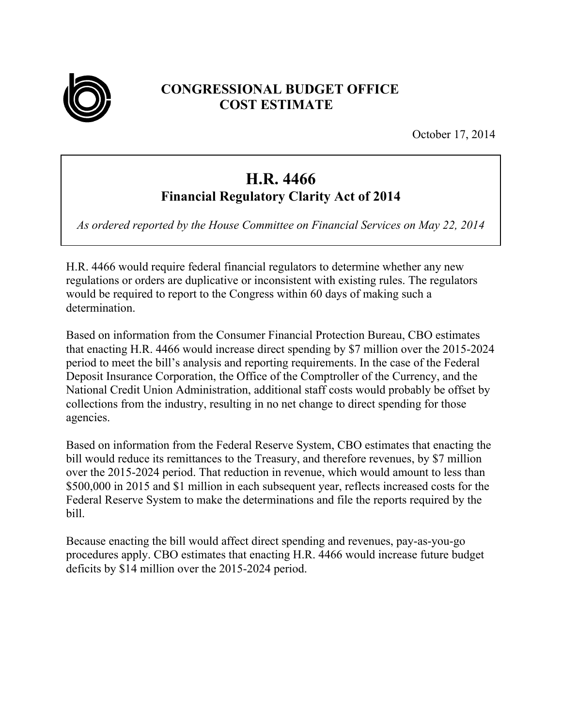

## **CONGRESSIONAL BUDGET OFFICE COST ESTIMATE**

October 17, 2014

## **H.R. 4466 Financial Regulatory Clarity Act of 2014**

*As ordered reported by the House Committee on Financial Services on May 22, 2014* 

H.R. 4466 would require federal financial regulators to determine whether any new regulations or orders are duplicative or inconsistent with existing rules. The regulators would be required to report to the Congress within 60 days of making such a determination.

Based on information from the Consumer Financial Protection Bureau, CBO estimates that enacting H.R. 4466 would increase direct spending by \$7 million over the 2015-2024 period to meet the bill's analysis and reporting requirements. In the case of the Federal Deposit Insurance Corporation, the Office of the Comptroller of the Currency, and the National Credit Union Administration, additional staff costs would probably be offset by collections from the industry, resulting in no net change to direct spending for those agencies.

Based on information from the Federal Reserve System, CBO estimates that enacting the bill would reduce its remittances to the Treasury, and therefore revenues, by \$7 million over the 2015-2024 period. That reduction in revenue, which would amount to less than \$500,000 in 2015 and \$1 million in each subsequent year, reflects increased costs for the Federal Reserve System to make the determinations and file the reports required by the bill.

Because enacting the bill would affect direct spending and revenues, pay-as-you-go procedures apply. CBO estimates that enacting H.R. 4466 would increase future budget deficits by \$14 million over the 2015-2024 period.